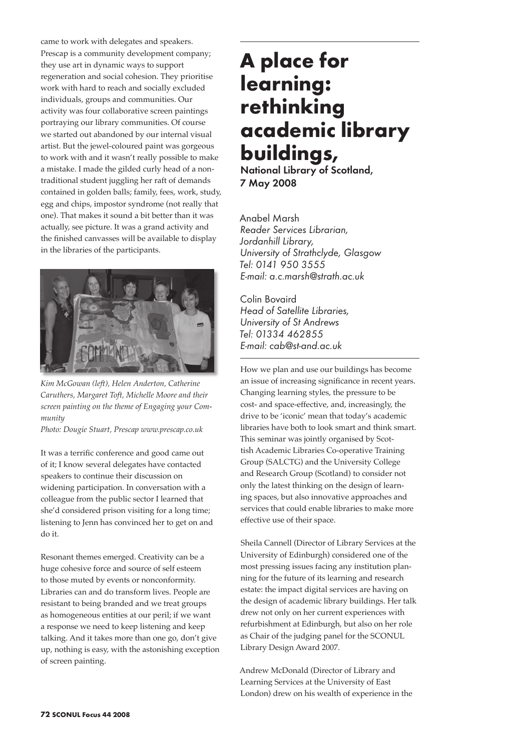came to work with delegates and speakers. Prescap is a community development company; they use art in dynamic ways to support regeneration and social cohesion. They prioritise work with hard to reach and socially excluded individuals, groups and communities. Our activity was four collaborative screen paintings portraying our library communities. Of course we started out abandoned by our internal visual artist. But the jewel-coloured paint was gorgeous to work with and it wasn't really possible to make a mistake. I made the gilded curly head of a nontraditional student juggling her raft of demands contained in golden balls; family, fees, work, study, egg and chips, impostor syndrome (not really that one). That makes it sound a bit better than it was actually, see picture. It was a grand activity and the finished canvasses will be available to display in the libraries of the participants.



*Kim McGowan (left), Helen Anderton, Catherine Caruthers, Margaret Toft, Michelle Moore and their screen painting on the theme of Engaging your Community*

*Photo: Dougie Stuart, Prescap www.prescap.co.uk*

It was a terrific conference and good came out of it; I know several delegates have contacted speakers to continue their discussion on widening participation. In conversation with a colleague from the public sector I learned that she'd considered prison visiting for a long time; listening to Jenn has convinced her to get on and do it.

Resonant themes emerged. Creativity can be a huge cohesive force and source of self esteem to those muted by events or nonconformity. Libraries can and do transform lives. People are resistant to being branded and we treat groups as homogeneous entities at our peril; if we want a response we need to keep listening and keep talking. And it takes more than one go, don't give up, nothing is easy, with the astonishing exception of screen painting.

## **A place for learning: rethinking academic library buildings,**

National Library of Scotland, 7 May 2008

Anabel Marsh *Reader Services Librarian, Jordanhill Library, University of Strathclyde, Glasgow Tel: 0141 950 3555 E-mail: a.c.marsh@strath.ac.uk* 

Colin Bovaird *Head of Satellite Libraries, University of St Andrews Tel: 01334 462855 E-mail: cab@st-and.ac.uk* 

How we plan and use our buildings has become an issue of increasing significance in recent years. Changing learning styles, the pressure to be cost- and space-effective, and, increasingly, the drive to be 'iconic' mean that today's academic libraries have both to look smart and think smart. This seminar was jointly organised by Scottish Academic Libraries Co-operative Training Group (SALCTG) and the University College and Research Group (Scotland) to consider not only the latest thinking on the design of learning spaces, but also innovative approaches and services that could enable libraries to make more effective use of their space.

Sheila Cannell (Director of Library Services at the University of Edinburgh) considered one of the most pressing issues facing any institution planning for the future of its learning and research estate: the impact digital services are having on the design of academic library buildings. Her talk drew not only on her current experiences with refurbishment at Edinburgh, but also on her role as Chair of the judging panel for the SCONUL Library Design Award 2007.

Andrew McDonald (Director of Library and Learning Services at the University of East London) drew on his wealth of experience in the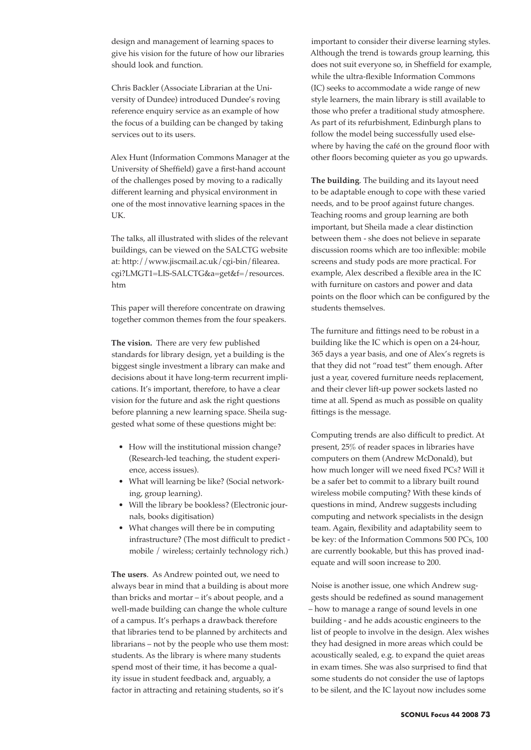design and management of learning spaces to give his vision for the future of how our libraries should look and function.

Chris Backler (Associate Librarian at the University of Dundee) introduced Dundee's roving reference enquiry service as an example of how the focus of a building can be changed by taking services out to its users.

Alex Hunt (Information Commons Manager at the University of Sheffield) gave a first-hand account of the challenges posed by moving to a radically different learning and physical environment in one of the most innovative learning spaces in the UK.

The talks, all illustrated with slides of the relevant buildings, can be viewed on the SALCTG website at: http://www.jiscmail.ac.uk/cgi-bin/filearea. cgi?LMGT1=LIS-SALCTG&a=get&f=/resources. htm

This paper will therefore concentrate on drawing together common themes from the four speakers.

**The vision.** There are very few published standards for library design, yet a building is the biggest single investment a library can make and decisions about it have long-term recurrent implications. It's important, therefore, to have a clear vision for the future and ask the right questions before planning a new learning space. Sheila suggested what some of these questions might be:

- How will the institutional mission change? (Research-led teaching, the student experience, access issues).
- What will learning be like? (Social networking, group learning).
- Will the library be bookless? (Electronic journals, books digitisation)
- What changes will there be in computing infrastructure? (The most difficult to predict mobile / wireless; certainly technology rich.)

**The users**. As Andrew pointed out, we need to always bear in mind that a building is about more than bricks and mortar – it's about people, and a well-made building can change the whole culture of a campus. It's perhaps a drawback therefore that libraries tend to be planned by architects and librarians – not by the people who use them most: students. As the library is where many students spend most of their time, it has become a quality issue in student feedback and, arguably, a factor in attracting and retaining students, so it's

important to consider their diverse learning styles. Although the trend is towards group learning, this does not suit everyone so, in Sheffield for example, while the ultra-flexible Information Commons (IC) seeks to accommodate a wide range of new style learners, the main library is still available to those who prefer a traditional study atmosphere. As part of its refurbishment, Edinburgh plans to follow the model being successfully used elsewhere by having the café on the ground floor with other floors becoming quieter as you go upwards.

**The building**. The building and its layout need to be adaptable enough to cope with these varied needs, and to be proof against future changes. Teaching rooms and group learning are both important, but Sheila made a clear distinction between them - she does not believe in separate discussion rooms which are too inflexible: mobile screens and study pods are more practical. For example, Alex described a flexible area in the IC with furniture on castors and power and data points on the floor which can be configured by the students themselves.

The furniture and fittings need to be robust in a building like the IC which is open on a 24-hour, 365 days a year basis, and one of Alex's regrets is that they did not "road test" them enough. After just a year, covered furniture needs replacement, and their clever lift-up power sockets lasted no time at all. Spend as much as possible on quality fittings is the message.

Computing trends are also difficult to predict. At present, 25% of reader spaces in libraries have computers on them (Andrew McDonald), but how much longer will we need fixed PCs? Will it be a safer bet to commit to a library built round wireless mobile computing? With these kinds of questions in mind, Andrew suggests including computing and network specialists in the design team. Again, flexibility and adaptability seem to be key: of the Information Commons 500 PCs, 100 are currently bookable, but this has proved inadequate and will soon increase to 200.

Noise is another issue, one which Andrew suggests should be redefined as sound management – how to manage a range of sound levels in one building - and he adds acoustic engineers to the list of people to involve in the design. Alex wishes they had designed in more areas which could be acoustically sealed, e.g. to expand the quiet areas in exam times. She was also surprised to find that some students do not consider the use of laptops to be silent, and the IC layout now includes some